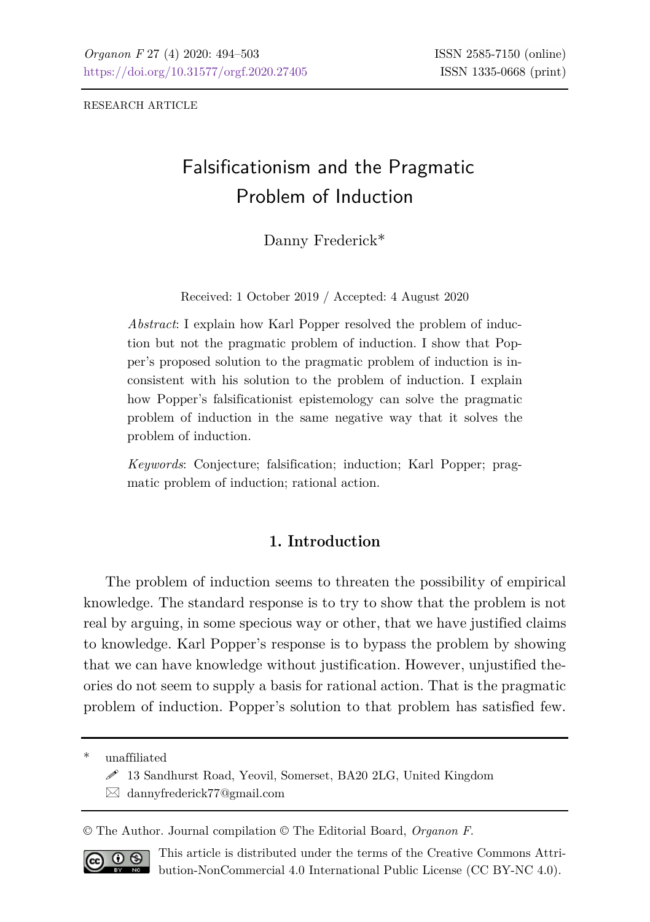RESEARCH ARTICLE

# Falsificationism and the Pragmatic Problem of Induction

Danny Frederick\*

Received: 1 October 2019 / Accepted: 4 August 2020

*Abstract*: I explain how Karl Popper resolved the problem of induction but not the pragmatic problem of induction. I show that Popper's proposed solution to the pragmatic problem of induction is inconsistent with his solution to the problem of induction. I explain how Popper's falsificationist epistemology can solve the pragmatic problem of induction in the same negative way that it solves the problem of induction.

*Keywords*: Conjecture; falsification; induction; Karl Popper; pragmatic problem of induction; rational action.

## **1. Introduction**

The problem of induction seems to threaten the possibility of empirical knowledge. The standard response is to try to show that the problem is not real by arguing, in some specious way or other, that we have justified claims to knowledge. Karl Popper's response is to bypass the problem by showing that we can have knowledge without justification. However, unjustified theories do not seem to supply a basis for rational action. That is the pragmatic problem of induction. Popper's solution to that problem has satisfied few.

unaffiliated

© The Author. Journal compilation © The Editorial Board, *Organon F*.



This article is distributed under the terms of the Creative Commons Attribution-NonCommercial 4.0 International Public License (CC BY-NC 4.0).

13 Sandhurst Road, Yeovil, Somerset, BA20 2LG, United Kingdom

dannyfrederick77@gmail.com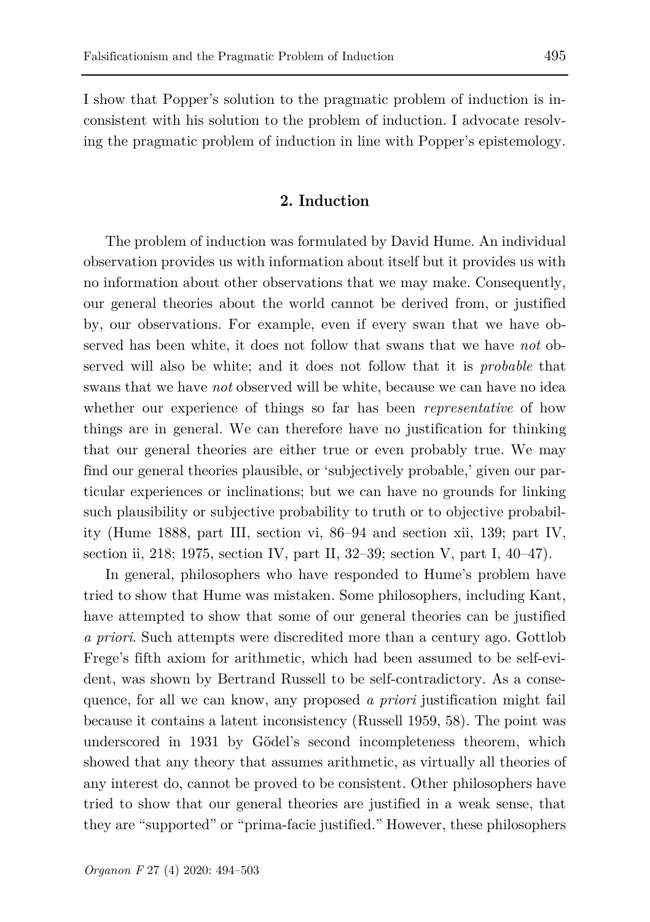I show that Popper's solution to the pragmatic problem of induction is inconsistent with his solution to the problem of induction. I advocate resolving the pragmatic problem of induction in line with Popper's epistemology.

#### **2. Induction**

The problem of induction was formulated by David Hume. An individual observation provides us with information about itself but it provides us with no information about other observations that we may make. Consequently, our general theories about the world cannot be derived from, or justified by, our observations. For example, even if every swan that we have observed has been white, it does not follow that swans that we have *not* observed will also be white; and it does not follow that it is *probable* that swans that we have *not* observed will be white, because we can have no idea whether our experience of things so far has been *representative* of how things are in general. We can therefore have no justification for thinking that our general theories are either true or even probably true. We may find our general theories plausible, or 'subjectively probable,' given our particular experiences or inclinations; but we can have no grounds for linking such plausibility or subjective probability to truth or to objective probability (Hume 1888, part III, section vi, 86–94 and section xii, 139; part IV, section ii, 218; 1975, section IV, part II, 32–39; section V, part I, 40–47).

In general, philosophers who have responded to Hume's problem have tried to show that Hume was mistaken. Some philosophers, including Kant, have attempted to show that some of our general theories can be justified *a priori*. Such attempts were discredited more than a century ago. Gottlob Frege's fifth axiom for arithmetic, which had been assumed to be self-evident, was shown by Bertrand Russell to be self-contradictory. As a consequence, for all we can know, any proposed *a priori* justification might fail because it contains a latent inconsistency (Russell 1959, 58). The point was underscored in 1931 by Gödel's second incompleteness theorem, which showed that any theory that assumes arithmetic, as virtually all theories of any interest do, cannot be proved to be consistent. Other philosophers have tried to show that our general theories are justified in a weak sense, that they are "supported" or "prima-facie justified." However, these philosophers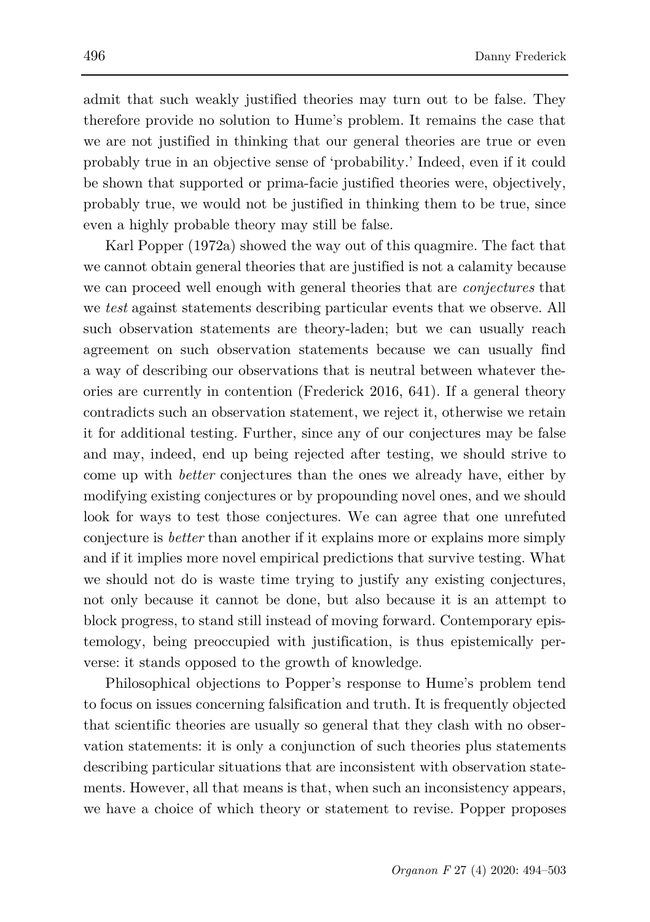admit that such weakly justified theories may turn out to be false. They therefore provide no solution to Hume's problem. It remains the case that we are not justified in thinking that our general theories are true or even probably true in an objective sense of 'probability.' Indeed, even if it could be shown that supported or prima-facie justified theories were, objectively, probably true, we would not be justified in thinking them to be true, since even a highly probable theory may still be false.

Karl Popper (1972a) showed the way out of this quagmire. The fact that we cannot obtain general theories that are justified is not a calamity because we can proceed well enough with general theories that are *conjectures* that we *test* against statements describing particular events that we observe. All such observation statements are theory-laden; but we can usually reach agreement on such observation statements because we can usually find a way of describing our observations that is neutral between whatever theories are currently in contention (Frederick 2016, 641). If a general theory contradicts such an observation statement, we reject it, otherwise we retain it for additional testing. Further, since any of our conjectures may be false and may, indeed, end up being rejected after testing, we should strive to come up with *better* conjectures than the ones we already have, either by modifying existing conjectures or by propounding novel ones, and we should look for ways to test those conjectures. We can agree that one unrefuted conjecture is *better* than another if it explains more or explains more simply and if it implies more novel empirical predictions that survive testing. What we should not do is waste time trying to justify any existing conjectures, not only because it cannot be done, but also because it is an attempt to block progress, to stand still instead of moving forward. Contemporary epistemology, being preoccupied with justification, is thus epistemically perverse: it stands opposed to the growth of knowledge.

Philosophical objections to Popper's response to Hume's problem tend to focus on issues concerning falsification and truth. It is frequently objected that scientific theories are usually so general that they clash with no observation statements: it is only a conjunction of such theories plus statements describing particular situations that are inconsistent with observation statements. However, all that means is that, when such an inconsistency appears, we have a choice of which theory or statement to revise. Popper proposes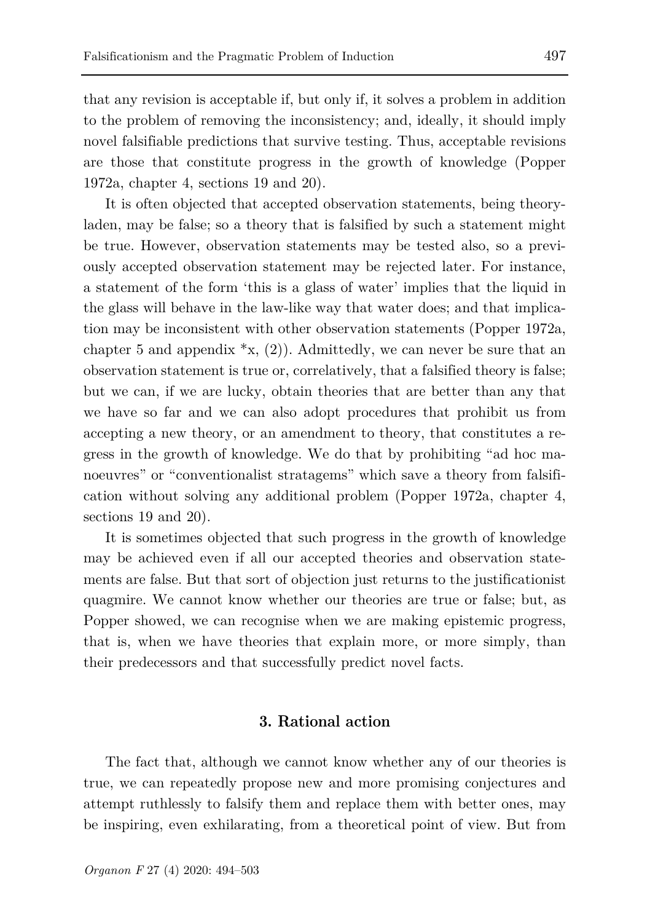that any revision is acceptable if, but only if, it solves a problem in addition to the problem of removing the inconsistency; and, ideally, it should imply novel falsifiable predictions that survive testing. Thus, acceptable revisions are those that constitute progress in the growth of knowledge (Popper 1972a, chapter 4, sections 19 and 20).

It is often objected that accepted observation statements, being theoryladen, may be false; so a theory that is falsified by such a statement might be true. However, observation statements may be tested also, so a previously accepted observation statement may be rejected later. For instance, a statement of the form 'this is a glass of water' implies that the liquid in the glass will behave in the law-like way that water does; and that implication may be inconsistent with other observation statements (Popper 1972a, chapter 5 and appendix  $\mathbf{x}$ , (2)). Admittedly, we can never be sure that an observation statement is true or, correlatively, that a falsified theory is false; but we can, if we are lucky, obtain theories that are better than any that we have so far and we can also adopt procedures that prohibit us from accepting a new theory, or an amendment to theory, that constitutes a regress in the growth of knowledge. We do that by prohibiting "ad hoc manoeuvres" or "conventionalist stratagems" which save a theory from falsification without solving any additional problem (Popper 1972a, chapter 4, sections 19 and 20).

It is sometimes objected that such progress in the growth of knowledge may be achieved even if all our accepted theories and observation statements are false. But that sort of objection just returns to the justificationist quagmire. We cannot know whether our theories are true or false; but, as Popper showed, we can recognise when we are making epistemic progress, that is, when we have theories that explain more, or more simply, than their predecessors and that successfully predict novel facts.

#### **3. Rational action**

The fact that, although we cannot know whether any of our theories is true, we can repeatedly propose new and more promising conjectures and attempt ruthlessly to falsify them and replace them with better ones, may be inspiring, even exhilarating, from a theoretical point of view. But from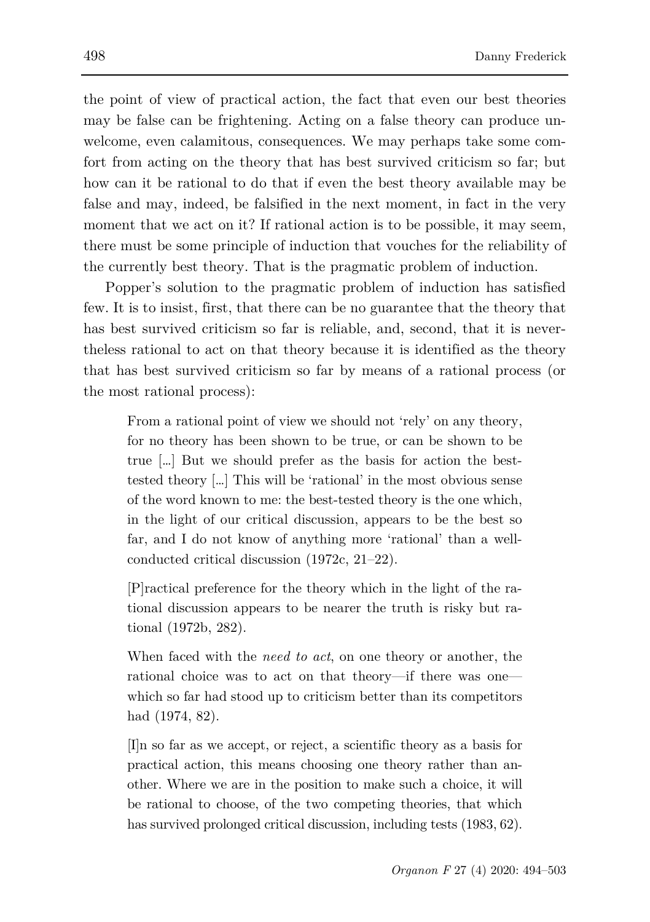the point of view of practical action, the fact that even our best theories may be false can be frightening. Acting on a false theory can produce unwelcome, even calamitous, consequences. We may perhaps take some comfort from acting on the theory that has best survived criticism so far; but how can it be rational to do that if even the best theory available may be false and may, indeed, be falsified in the next moment, in fact in the very moment that we act on it? If rational action is to be possible, it may seem, there must be some principle of induction that vouches for the reliability of the currently best theory. That is the pragmatic problem of induction.

Popper's solution to the pragmatic problem of induction has satisfied few. It is to insist, first, that there can be no guarantee that the theory that has best survived criticism so far is reliable, and, second, that it is nevertheless rational to act on that theory because it is identified as the theory that has best survived criticism so far by means of a rational process (or the most rational process):

From a rational point of view we should not 'rely' on any theory, for no theory has been shown to be true, or can be shown to be true […] But we should prefer as the basis for action the besttested theory […] This will be 'rational' in the most obvious sense of the word known to me: the best-tested theory is the one which, in the light of our critical discussion, appears to be the best so far, and I do not know of anything more 'rational' than a wellconducted critical discussion (1972c, 21–22).

[P]ractical preference for the theory which in the light of the rational discussion appears to be nearer the truth is risky but rational (1972b, 282).

When faced with the *need to act*, on one theory or another, the rational choice was to act on that theory—if there was one which so far had stood up to criticism better than its competitors had (1974, 82).

[I]n so far as we accept, or reject, a scientific theory as a basis for practical action, this means choosing one theory rather than another. Where we are in the position to make such a choice, it will be rational to choose, of the two competing theories, that which has survived prolonged critical discussion, including tests (1983, 62).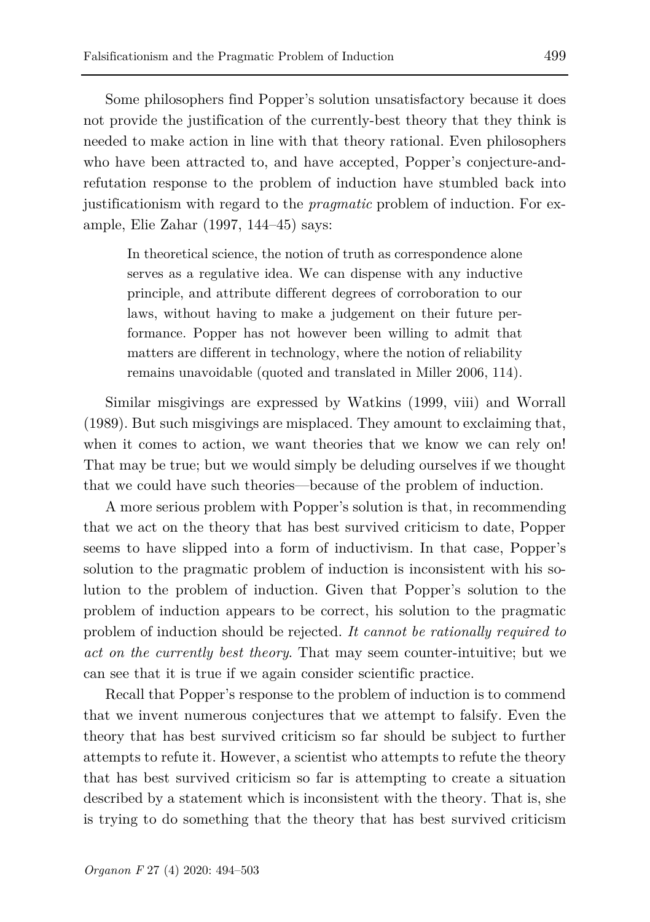Some philosophers find Popper's solution unsatisfactory because it does not provide the justification of the currently-best theory that they think is needed to make action in line with that theory rational. Even philosophers who have been attracted to, and have accepted, Popper's conjecture-andrefutation response to the problem of induction have stumbled back into justificationism with regard to the *pragmatic* problem of induction. For example, Elie Zahar (1997, 144–45) says:

In theoretical science, the notion of truth as correspondence alone serves as a regulative idea. We can dispense with any inductive principle, and attribute different degrees of corroboration to our laws, without having to make a judgement on their future performance. Popper has not however been willing to admit that matters are different in technology, where the notion of reliability remains unavoidable (quoted and translated in Miller 2006, 114).

Similar misgivings are expressed by Watkins (1999, viii) and Worrall (1989). But such misgivings are misplaced. They amount to exclaiming that, when it comes to action, we want theories that we know we can rely on! That may be true; but we would simply be deluding ourselves if we thought that we could have such theories—because of the problem of induction.

A more serious problem with Popper's solution is that, in recommending that we act on the theory that has best survived criticism to date, Popper seems to have slipped into a form of inductivism. In that case, Popper's solution to the pragmatic problem of induction is inconsistent with his solution to the problem of induction. Given that Popper's solution to the problem of induction appears to be correct, his solution to the pragmatic problem of induction should be rejected. *It cannot be rationally required to act on the currently best theory*. That may seem counter-intuitive; but we can see that it is true if we again consider scientific practice.

Recall that Popper's response to the problem of induction is to commend that we invent numerous conjectures that we attempt to falsify. Even the theory that has best survived criticism so far should be subject to further attempts to refute it. However, a scientist who attempts to refute the theory that has best survived criticism so far is attempting to create a situation described by a statement which is inconsistent with the theory. That is, she is trying to do something that the theory that has best survived criticism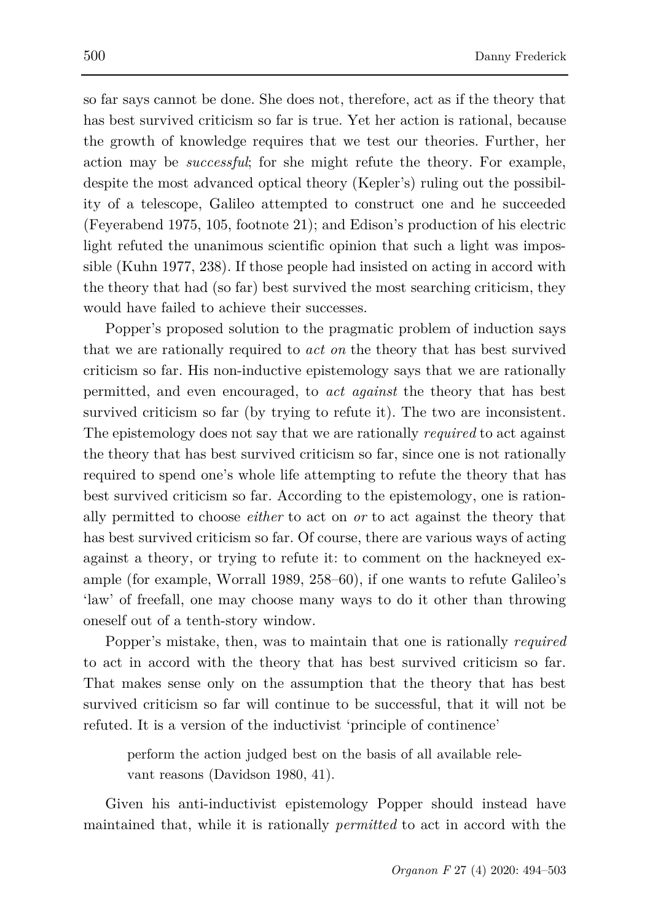so far says cannot be done. She does not, therefore, act as if the theory that has best survived criticism so far is true. Yet her action is rational, because the growth of knowledge requires that we test our theories. Further, her action may be *successful*; for she might refute the theory. For example, despite the most advanced optical theory (Kepler's) ruling out the possibility of a telescope, Galileo attempted to construct one and he succeeded (Feyerabend 1975, 105, footnote 21); and Edison's production of his electric light refuted the unanimous scientific opinion that such a light was impossible (Kuhn 1977, 238). If those people had insisted on acting in accord with the theory that had (so far) best survived the most searching criticism, they would have failed to achieve their successes.

Popper's proposed solution to the pragmatic problem of induction says that we are rationally required to *act on* the theory that has best survived criticism so far. His non-inductive epistemology says that we are rationally permitted, and even encouraged, to *act against* the theory that has best survived criticism so far (by trying to refute it). The two are inconsistent. The epistemology does not say that we are rationally *required* to act against the theory that has best survived criticism so far, since one is not rationally required to spend one's whole life attempting to refute the theory that has best survived criticism so far. According to the epistemology, one is rationally permitted to choose *either* to act on *or* to act against the theory that has best survived criticism so far. Of course, there are various ways of acting against a theory, or trying to refute it: to comment on the hackneyed example (for example, Worrall 1989, 258–60), if one wants to refute Galileo's 'law' of freefall, one may choose many ways to do it other than throwing oneself out of a tenth-story window.

Popper's mistake, then, was to maintain that one is rationally *required* to act in accord with the theory that has best survived criticism so far. That makes sense only on the assumption that the theory that has best survived criticism so far will continue to be successful, that it will not be refuted. It is a version of the inductivist 'principle of continence'

perform the action judged best on the basis of all available relevant reasons (Davidson 1980, 41).

Given his anti-inductivist epistemology Popper should instead have maintained that, while it is rationally *permitted* to act in accord with the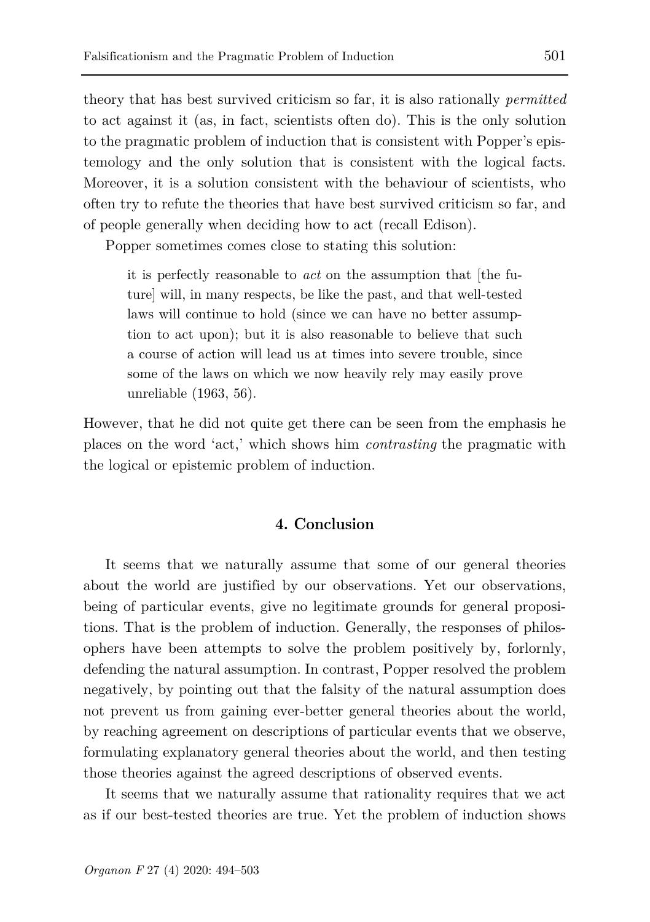theory that has best survived criticism so far, it is also rationally *permitted* to act against it (as, in fact, scientists often do). This is the only solution to the pragmatic problem of induction that is consistent with Popper's epistemology and the only solution that is consistent with the logical facts. Moreover, it is a solution consistent with the behaviour of scientists, who often try to refute the theories that have best survived criticism so far, and of people generally when deciding how to act (recall Edison).

Popper sometimes comes close to stating this solution:

it is perfectly reasonable to *act* on the assumption that [the future] will, in many respects, be like the past, and that well-tested laws will continue to hold (since we can have no better assumption to act upon); but it is also reasonable to believe that such a course of action will lead us at times into severe trouble, since some of the laws on which we now heavily rely may easily prove unreliable (1963, 56).

However, that he did not quite get there can be seen from the emphasis he places on the word 'act,' which shows him *contrasting* the pragmatic with the logical or epistemic problem of induction.

### **4. Conclusion**

It seems that we naturally assume that some of our general theories about the world are justified by our observations. Yet our observations, being of particular events, give no legitimate grounds for general propositions. That is the problem of induction. Generally, the responses of philosophers have been attempts to solve the problem positively by, forlornly, defending the natural assumption. In contrast, Popper resolved the problem negatively, by pointing out that the falsity of the natural assumption does not prevent us from gaining ever-better general theories about the world, by reaching agreement on descriptions of particular events that we observe, formulating explanatory general theories about the world, and then testing those theories against the agreed descriptions of observed events.

It seems that we naturally assume that rationality requires that we act as if our best-tested theories are true. Yet the problem of induction shows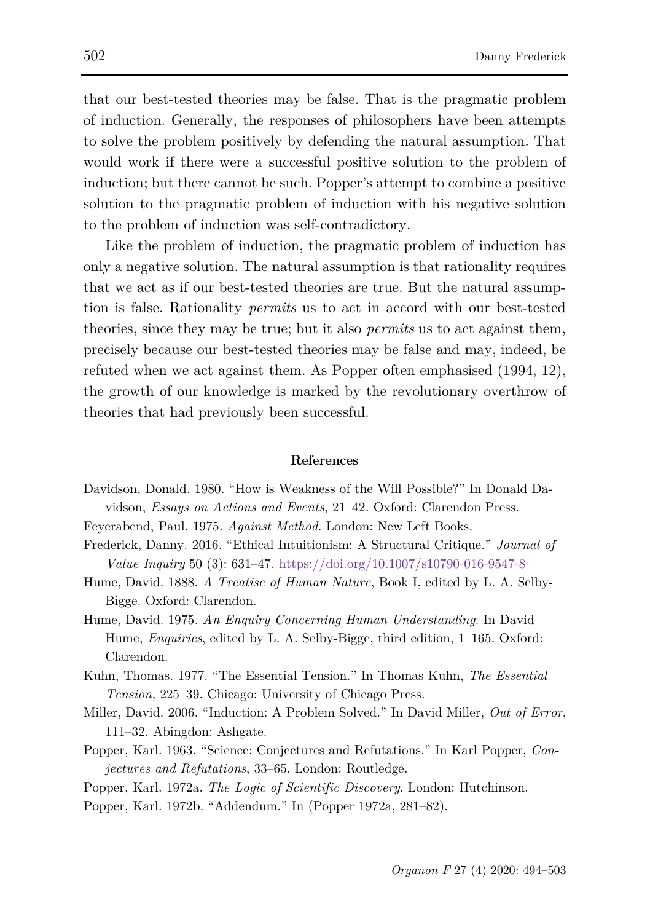that our best-tested theories may be false. That is the pragmatic problem of induction. Generally, the responses of philosophers have been attempts to solve the problem positively by defending the natural assumption. That would work if there were a successful positive solution to the problem of induction; but there cannot be such. Popper's attempt to combine a positive solution to the pragmatic problem of induction with his negative solution to the problem of induction was self-contradictory.

Like the problem of induction, the pragmatic problem of induction has only a negative solution. The natural assumption is that rationality requires that we act as if our best-tested theories are true. But the natural assumption is false. Rationality *permits* us to act in accord with our best-tested theories, since they may be true; but it also *permits* us to act against them, precisely because our best-tested theories may be false and may, indeed, be refuted when we act against them. As Popper often emphasised (1994, 12), the growth of our knowledge is marked by the revolutionary overthrow of theories that had previously been successful.

#### **References**

- Davidson, Donald. 1980. "How is Weakness of the Will Possible?" In Donald Davidson, *Essays on Actions and Events*, 21–42. Oxford: Clarendon Press.
- Feyerabend, Paul. 1975. *Against Method*. London: New Left Books.
- Frederick, Danny. 2016. "Ethical Intuitionism: A Structural Critique." *Journal of Value Inquiry* 50 (3): 631–47.<https://doi.org/10.1007/s10790-016-9547-8>
- Hume, David. 1888. *A Treatise of Human Nature*, Book I, edited by L. A. Selby-Bigge. Oxford: Clarendon.
- Hume, David. 1975. *An Enquiry Concerning Human Understanding*. In David Hume, *Enquiries*, edited by L. A. Selby-Bigge, third edition, 1–165. Oxford: Clarendon.
- Kuhn, Thomas. 1977. "The Essential Tension." In Thomas Kuhn, *The Essential Tension*, 225–39. Chicago: University of Chicago Press.
- Miller, David. 2006. "Induction: A Problem Solved." In David Miller, *Out of Error*, 111–32. Abingdon: Ashgate.
- Popper, Karl. 1963. "Science: Conjectures and Refutations." In Karl Popper, *Conjectures and Refutations*, 33–65. London: Routledge.
- Popper, Karl. 1972a. *The Logic of Scientific Discovery*. London: Hutchinson.
- Popper, Karl. 1972b. "Addendum." In (Popper 1972a, 281–82).